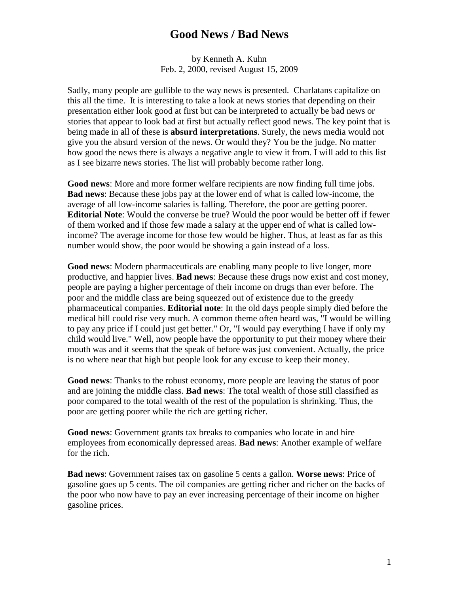## **Good News / Bad News**

by Kenneth A. Kuhn Feb. 2, 2000, revised August 15, 2009

Sadly, many people are gullible to the way news is presented. Charlatans capitalize on this all the time. It is interesting to take a look at news stories that depending on their presentation either look good at first but can be interpreted to actually be bad news or stories that appear to look bad at first but actually reflect good news. The key point that is being made in all of these is **absurd interpretations**. Surely, the news media would not give you the absurd version of the news. Or would they? You be the judge. No matter how good the news there is always a negative angle to view it from. I will add to this list as I see bizarre news stories. The list will probably become rather long.

**Good news**: More and more former welfare recipients are now finding full time jobs. **Bad news**: Because these jobs pay at the lower end of what is called low-income, the average of all low-income salaries is falling. Therefore, the poor are getting poorer. **Editorial Note**: Would the converse be true? Would the poor would be better off if fewer of them worked and if those few made a salary at the upper end of what is called lowincome? The average income for those few would be higher. Thus, at least as far as this number would show, the poor would be showing a gain instead of a loss.

**Good news**: Modern pharmaceuticals are enabling many people to live longer, more productive, and happier lives. **Bad news**: Because these drugs now exist and cost money, people are paying a higher percentage of their income on drugs than ever before. The poor and the middle class are being squeezed out of existence due to the greedy pharmaceutical companies. **Editorial note**: In the old days people simply died before the medical bill could rise very much. A common theme often heard was, "I would be willing to pay any price if I could just get better." Or, "I would pay everything I have if only my child would live." Well, now people have the opportunity to put their money where their mouth was and it seems that the speak of before was just convenient. Actually, the price is no where near that high but people look for any excuse to keep their money.

**Good news**: Thanks to the robust economy, more people are leaving the status of poor and are joining the middle class. **Bad news**: The total wealth of those still classified as poor compared to the total wealth of the rest of the population is shrinking. Thus, the poor are getting poorer while the rich are getting richer.

**Good news**: Government grants tax breaks to companies who locate in and hire employees from economically depressed areas. **Bad news**: Another example of welfare for the rich.

**Bad news**: Government raises tax on gasoline 5 cents a gallon. **Worse news**: Price of gasoline goes up 5 cents. The oil companies are getting richer and richer on the backs of the poor who now have to pay an ever increasing percentage of their income on higher gasoline prices.